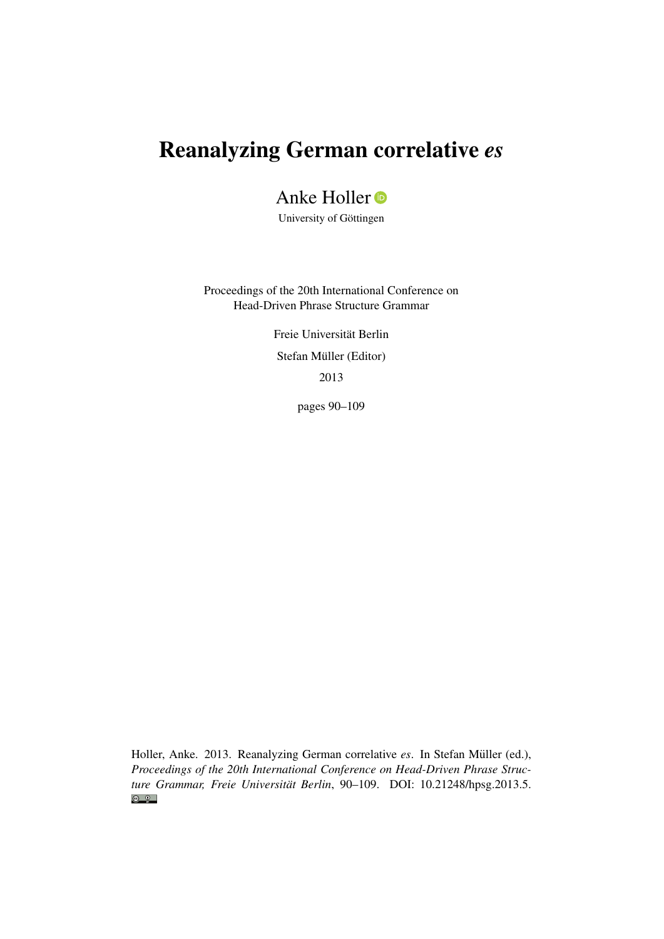# Reanalyzing German correlative *es*

## Anke Holler<sup>o</sup>

University of Göttingen

Proceedings of the 20th International Conference on Head-Driven Phrase Structure Grammar

> Freie Universität Berlin Stefan Müller (Editor) 2013

> > pages 90–109

Holler, Anke. 2013. Reanalyzing German correlative *es*. In Stefan Müller (ed.), *Proceedings of the 20th International Conference on Head-Driven Phrase Structure Grammar, Freie Universität Berlin*, 90–109. DOI: [10.21248/hpsg.2013.5.](http://doi.org/10.21248/hpsg.2013.5) $\odot$   $\odot$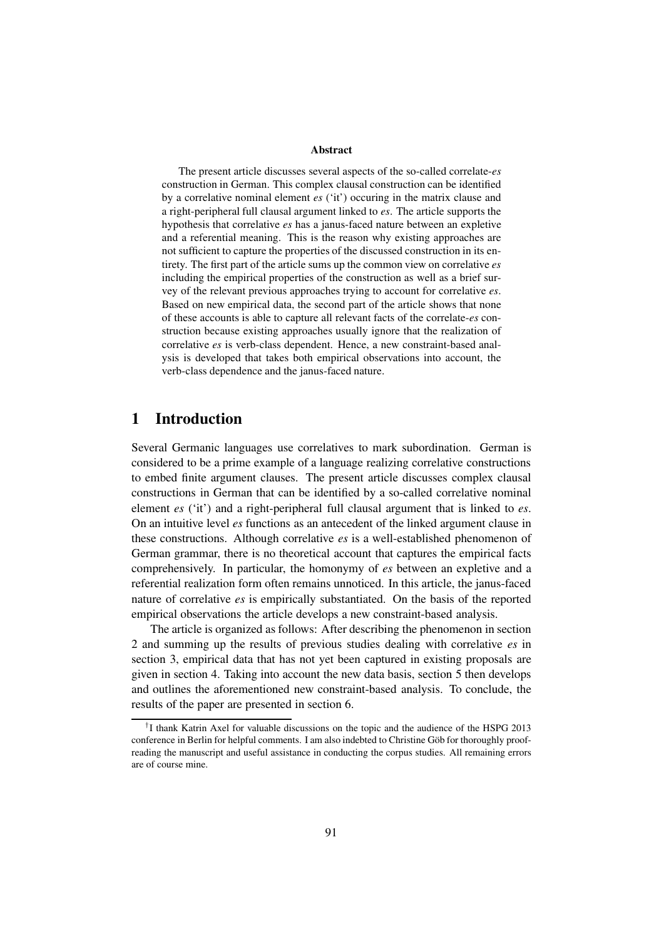#### Abstract

The present article discusses several aspects of the so-called correlate-*es* construction in German. This complex clausal construction can be identified by a correlative nominal element *es* ('it') occuring in the matrix clause and a right-peripheral full clausal argument linked to *es*. The article supports the hypothesis that correlative *es* has a janus-faced nature between an expletive and a referential meaning. This is the reason why existing approaches are not sufficient to capture the properties of the discussed construction in its entirety. The first part of the article sums up the common view on correlative *es* including the empirical properties of the construction as well as a brief survey of the relevant previous approaches trying to account for correlative *es*. Based on new empirical data, the second part of the article shows that none of these accounts is able to capture all relevant facts of the correlate-*es* construction because existing approaches usually ignore that the realization of correlative *es* is verb-class dependent. Hence, a new constraint-based analysis is developed that takes both empirical observations into account, the verb-class dependence and the janus-faced nature.

## 1 Introduction

Several Germanic languages use correlatives to mark subordination. German is considered to be a prime example of a language realizing correlative constructions to embed finite argument clauses. The present article discusses complex clausal constructions in German that can be identified by a so-called correlative nominal element *es* ('it') and a right-peripheral full clausal argument that is linked to *es*. On an intuitive level *es* functions as an antecedent of the linked argument clause in these constructions. Although correlative *es* is a well-established phenomenon of German grammar, there is no theoretical account that captures the empirical facts comprehensively. In particular, the homonymy of *es* between an expletive and a referential realization form often remains unnoticed. In this article, the janus-faced nature of correlative *es* is empirically substantiated. On the basis of the reported empirical observations the article develops a new constraint-based analysis.

The article is organized as follows: After describing the phenomenon in section 2 and summing up the results of previous studies dealing with correlative *es* in section 3, empirical data that has not yet been captured in existing proposals are given in section 4. Taking into account the new data basis, section 5 then develops and outlines the aforementioned new constraint-based analysis. To conclude, the results of the paper are presented in section 6.

<sup>†</sup> I thank Katrin Axel for valuable discussions on the topic and the audience of the HSPG 2013 conference in Berlin for helpful comments. I am also indebted to Christine Göb for thoroughly proofreading the manuscript and useful assistance in conducting the corpus studies. All remaining errors are of course mine.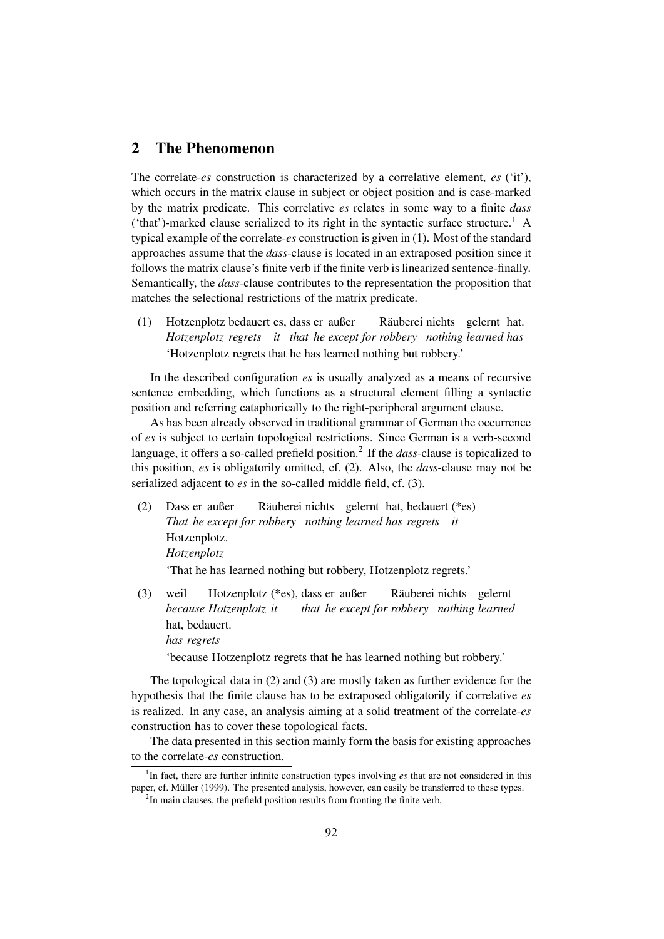## 2 The Phenomenon

The correlate-*es* construction is characterized by a correlative element, *es* ('it'), which occurs in the matrix clause in subject or object position and is case-marked by the matrix predicate. This correlative *es* relates in some way to a finite *dass* ('that')-marked clause serialized to its right in the syntactic surface structure.<sup>1</sup> A typical example of the correlate-*es* construction is given in (1). Most of the standard approaches assume that the *dass*-clause is located in an extraposed position since it follows the matrix clause's finite verb if the finite verb is linearized sentence-finally. Semantically, the *dass*-clause contributes to the representation the proposition that matches the selectional restrictions of the matrix predicate.

(1) Hotzenplotz bedauert es, dass er außer *Hotzenplotz regrets it that he except for robbery nothing learned has* Räuberei nichts gelernt hat. 'Hotzenplotz regrets that he has learned nothing but robbery.'

In the described configuration *es* is usually analyzed as a means of recursive sentence embedding, which functions as a structural element filling a syntactic position and referring cataphorically to the right-peripheral argument clause.

As has been already observed in traditional grammar of German the occurrence of *es* is subject to certain topological restrictions. Since German is a verb-second language, it offers a so-called prefield position.<sup>2</sup> If the *dass*-clause is topicalized to this position, *es* is obligatorily omitted, cf. (2). Also, the *dass*-clause may not be serialized adjacent to *es* in the so-called middle field, cf. (3).

(2) Dass er außer *That he except for robbery nothing learned has regrets it* Räuberei nichts gelernt hat, bedauert (\*es) Hotzenplotz. *Hotzenplotz*

'That he has learned nothing but robbery, Hotzenplotz regrets.'

(3) weil *because Hotzenplotz it* Hotzenplotz (\*es), dass er außer *that he except for robbery nothing learned* Räuberei nichts gelernt hat, bedauert. *has regrets*

'because Hotzenplotz regrets that he has learned nothing but robbery.'

The topological data in (2) and (3) are mostly taken as further evidence for the hypothesis that the finite clause has to be extraposed obligatorily if correlative *es* is realized. In any case, an analysis aiming at a solid treatment of the correlate-*es* construction has to cover these topological facts.

The data presented in this section mainly form the basis for existing approaches to the correlate-*es* construction.

<sup>&</sup>lt;sup>1</sup>In fact, there are further infinite construction types involving *es* that are not considered in this paper, cf. Müller (1999). The presented analysis, however, can easily be transferred to these types.

 $2$ In main clauses, the prefield position results from fronting the finite verb.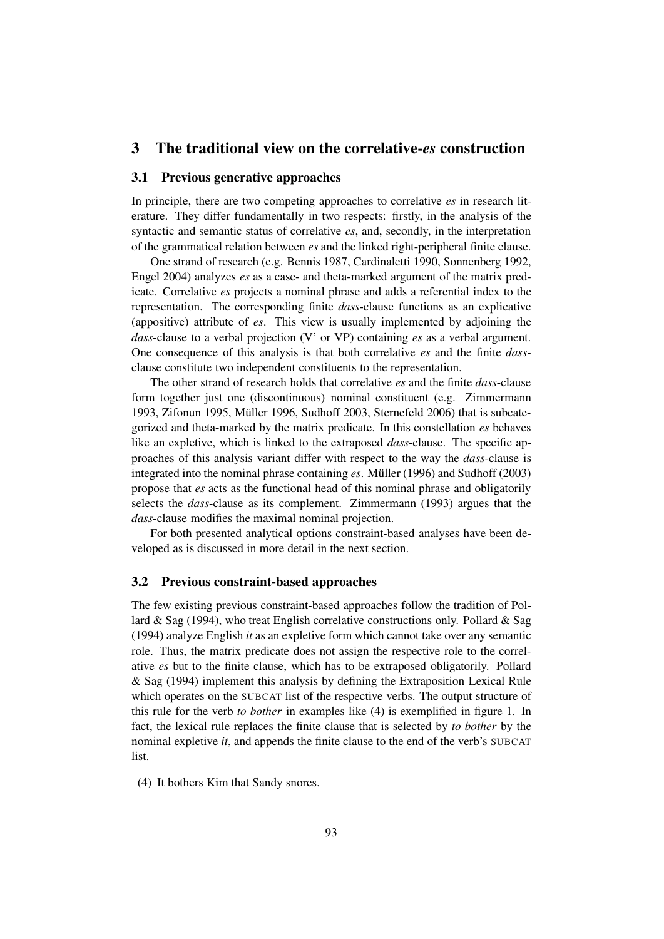## 3 The traditional view on the correlative-*es* construction

#### 3.1 Previous generative approaches

In principle, there are two competing approaches to correlative *es* in research literature. They differ fundamentally in two respects: firstly, in the analysis of the syntactic and semantic status of correlative *es*, and, secondly, in the interpretation of the grammatical relation between *es* and the linked right-peripheral finite clause.

One strand of research (e.g. Bennis 1987, Cardinaletti 1990, Sonnenberg 1992, Engel 2004) analyzes *es* as a case- and theta-marked argument of the matrix predicate. Correlative *es* projects a nominal phrase and adds a referential index to the representation. The corresponding finite *dass*-clause functions as an explicative (appositive) attribute of *es*. This view is usually implemented by adjoining the *dass*-clause to a verbal projection (V' or VP) containing *es* as a verbal argument. One consequence of this analysis is that both correlative *es* and the finite *dass*clause constitute two independent constituents to the representation.

The other strand of research holds that correlative *es* and the finite *dass*-clause form together just one (discontinuous) nominal constituent (e.g. Zimmermann 1993, Zifonun 1995, Müller 1996, Sudhoff  $2003$ , Sternefeld  $2006$ ) that is subcategorized and theta-marked by the matrix predicate. In this constellation *es* behaves like an expletive, which is linked to the extraposed *dass*-clause. The specific approaches of this analysis variant differ with respect to the way the *dass*-clause is integrated into the nominal phrase containing  $es$ . Müller (1996) and Sudhoff (2003) propose that *es* acts as the functional head of this nominal phrase and obligatorily selects the *dass*-clause as its complement. Zimmermann (1993) argues that the *dass*-clause modifies the maximal nominal projection.

For both presented analytical options constraint-based analyses have been developed as is discussed in more detail in the next section.

#### 3.2 Previous constraint-based approaches

The few existing previous constraint-based approaches follow the tradition of Pollard & Sag (1994), who treat English correlative constructions only. Pollard & Sag (1994) analyze English *it* as an expletive form which cannot take over any semantic role. Thus, the matrix predicate does not assign the respective role to the correlative *es* but to the finite clause, which has to be extraposed obligatorily. Pollard & Sag (1994) implement this analysis by defining the Extraposition Lexical Rule which operates on the SUBCAT list of the respective verbs. The output structure of this rule for the verb *to bother* in examples like (4) is exemplified in figure 1. In fact, the lexical rule replaces the finite clause that is selected by *to bother* by the nominal expletive *it*, and appends the finite clause to the end of the verb's SUBCAT list.

(4) It bothers Kim that Sandy snores.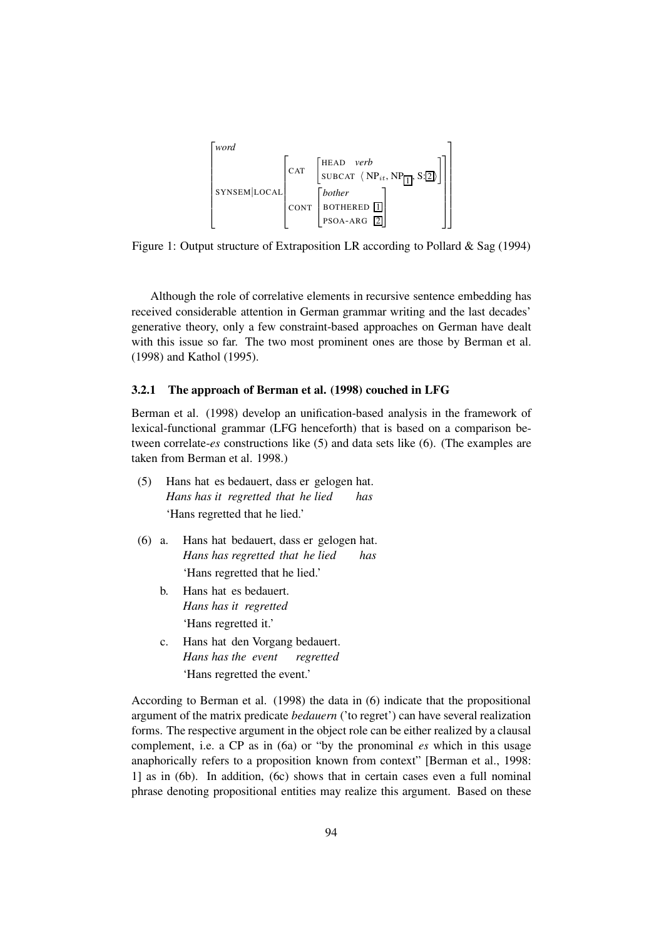

Figure 1: Output structure of Extraposition LR according to Pollard & Sag (1994)

Although the role of correlative elements in recursive sentence embedding has received considerable attention in German grammar writing and the last decades' generative theory, only a few constraint-based approaches on German have dealt with this issue so far. The two most prominent ones are those by Berman et al. (1998) and Kathol (1995).

#### 3.2.1 The approach of Berman et al. (1998) couched in LFG

Berman et al. (1998) develop an unification-based analysis in the framework of lexical-functional grammar (LFG henceforth) that is based on a comparison between correlate-*es* constructions like (5) and data sets like (6). (The examples are taken from Berman et al. 1998.)

- (5) Hans hat es bedauert, dass er gelogen hat. *Hans has it regretted that he lied has* 'Hans regretted that he lied.'
- $(6)$  a. *Hans has regretted that he lied* hat bedauert, dass er gelogen hat. *has* 'Hans regretted that he lied.'
	- b. Hans hat es bedauert. *Hans has it regretted* 'Hans regretted it.'
	- c. Hans hat den Vorgang bedauert. *Hans has the event regretted* 'Hans regretted the event.'

According to Berman et al. (1998) the data in (6) indicate that the propositional argument of the matrix predicate *bedauern* ('to regret') can have several realization forms. The respective argument in the object role can be either realized by a clausal complement, i.e. a CP as in (6a) or "by the pronominal *es* which in this usage anaphorically refers to a proposition known from context" [Berman et al., 1998: 1] as in (6b). In addition, (6c) shows that in certain cases even a full nominal phrase denoting propositional entities may realize this argument. Based on these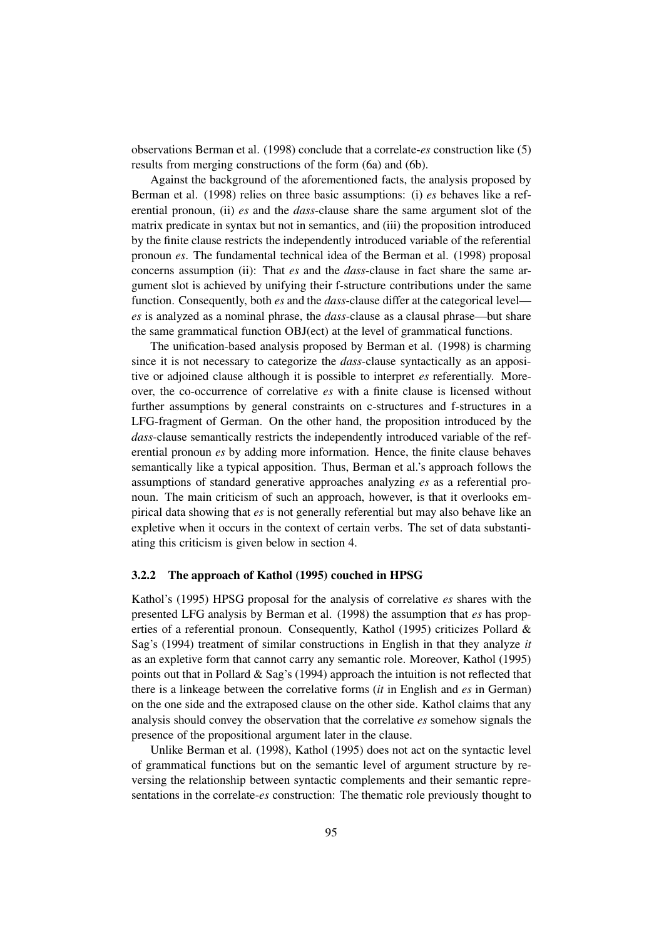observations Berman et al. (1998) conclude that a correlate-*es* construction like (5) results from merging constructions of the form (6a) and (6b).

Against the background of the aforementioned facts, the analysis proposed by Berman et al. (1998) relies on three basic assumptions: (i) *es* behaves like a referential pronoun, (ii) *es* and the *dass*-clause share the same argument slot of the matrix predicate in syntax but not in semantics, and (iii) the proposition introduced by the finite clause restricts the independently introduced variable of the referential pronoun *es*. The fundamental technical idea of the Berman et al. (1998) proposal concerns assumption (ii): That *es* and the *dass*-clause in fact share the same argument slot is achieved by unifying their f-structure contributions under the same function. Consequently, both *es* and the *dass*-clause differ at the categorical level *es* is analyzed as a nominal phrase, the *dass*-clause as a clausal phrase—but share the same grammatical function OBJ(ect) at the level of grammatical functions.

The unification-based analysis proposed by Berman et al. (1998) is charming since it is not necessary to categorize the *dass*-clause syntactically as an appositive or adjoined clause although it is possible to interpret *es* referentially. Moreover, the co-occurrence of correlative *es* with a finite clause is licensed without further assumptions by general constraints on c-structures and f-structures in a LFG-fragment of German. On the other hand, the proposition introduced by the *dass*-clause semantically restricts the independently introduced variable of the referential pronoun *es* by adding more information. Hence, the finite clause behaves semantically like a typical apposition. Thus, Berman et al.'s approach follows the assumptions of standard generative approaches analyzing *es* as a referential pronoun. The main criticism of such an approach, however, is that it overlooks empirical data showing that *es* is not generally referential but may also behave like an expletive when it occurs in the context of certain verbs. The set of data substantiating this criticism is given below in section 4.

#### 3.2.2 The approach of Kathol (1995) couched in HPSG

Kathol's (1995) HPSG proposal for the analysis of correlative *es* shares with the presented LFG analysis by Berman et al. (1998) the assumption that *es* has properties of a referential pronoun. Consequently, Kathol (1995) criticizes Pollard & Sag's (1994) treatment of similar constructions in English in that they analyze *it* as an expletive form that cannot carry any semantic role. Moreover, Kathol (1995) points out that in Pollard & Sag's (1994) approach the intuition is not reflected that there is a linkeage between the correlative forms (*it* in English and *es* in German) on the one side and the extraposed clause on the other side. Kathol claims that any analysis should convey the observation that the correlative *es* somehow signals the presence of the propositional argument later in the clause.

Unlike Berman et al. (1998), Kathol (1995) does not act on the syntactic level of grammatical functions but on the semantic level of argument structure by reversing the relationship between syntactic complements and their semantic representations in the correlate-*es* construction: The thematic role previously thought to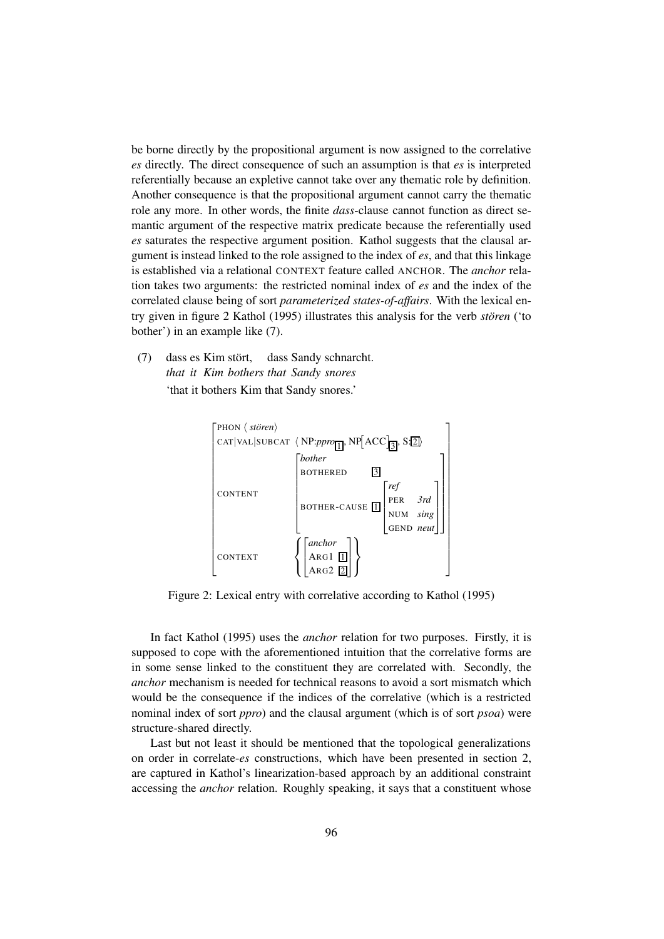be borne directly by the propositional argument is now assigned to the correlative *es* directly. The direct consequence of such an assumption is that *es* is interpreted referentially because an expletive cannot take over any thematic role by definition. Another consequence is that the propositional argument cannot carry the thematic role any more. In other words, the finite *dass*-clause cannot function as direct semantic argument of the respective matrix predicate because the referentially used *es* saturates the respective argument position. Kathol suggests that the clausal argument is instead linked to the role assigned to the index of *es*, and that this linkage is established via a relational CONTEXT feature called ANCHOR. The *anchor* relation takes two arguments: the restricted nominal index of *es* and the index of the correlated clause being of sort *parameterized states-of-affairs*. With the lexical entry given in figure 2 Kathol (1995) illustrates this analysis for the verb *storen ¨* ('to bother') in an example like (7).

 $(7)$ *that it Kim bothers that Sandy snores* es Kim stört, dass Sandy schnarcht. 'that it bothers Kim that Sandy snores.'



Figure 2: Lexical entry with correlative according to Kathol (1995)

In fact Kathol (1995) uses the *anchor* relation for two purposes. Firstly, it is supposed to cope with the aforementioned intuition that the correlative forms are in some sense linked to the constituent they are correlated with. Secondly, the *anchor* mechanism is needed for technical reasons to avoid a sort mismatch which would be the consequence if the indices of the correlative (which is a restricted nominal index of sort *ppro*) and the clausal argument (which is of sort *psoa*) were structure-shared directly.

Last but not least it should be mentioned that the topological generalizations on order in correlate-*es* constructions, which have been presented in section 2, are captured in Kathol's linearization-based approach by an additional constraint accessing the *anchor* relation. Roughly speaking, it says that a constituent whose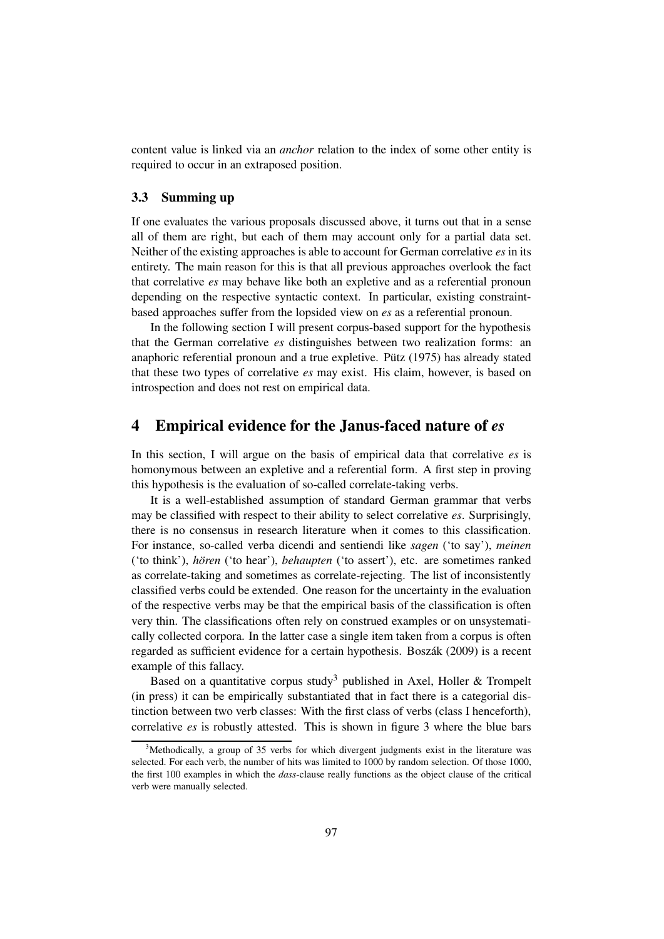content value is linked via an *anchor* relation to the index of some other entity is required to occur in an extraposed position.

#### 3.3 Summing up

If one evaluates the various proposals discussed above, it turns out that in a sense all of them are right, but each of them may account only for a partial data set. Neither of the existing approaches is able to account for German correlative *es* in its entirety. The main reason for this is that all previous approaches overlook the fact that correlative *es* may behave like both an expletive and as a referential pronoun depending on the respective syntactic context. In particular, existing constraintbased approaches suffer from the lopsided view on *es* as a referential pronoun.

In the following section I will present corpus-based support for the hypothesis that the German correlative *es* distinguishes between two realization forms: an anaphoric referential pronoun and a true expletive. Pütz  $(1975)$  has already stated that these two types of correlative *es* may exist. His claim, however, is based on introspection and does not rest on empirical data.

## 4 Empirical evidence for the Janus-faced nature of *es*

In this section, I will argue on the basis of empirical data that correlative *es* is homonymous between an expletive and a referential form. A first step in proving this hypothesis is the evaluation of so-called correlate-taking verbs.

It is a well-established assumption of standard German grammar that verbs may be classified with respect to their ability to select correlative *es*. Surprisingly, there is no consensus in research literature when it comes to this classification. For instance, so-called verba dicendi and sentiendi like *sagen* ('to say'), *meinen* ('to think'), *horen ¨* ('to hear'), *behaupten* ('to assert'), etc. are sometimes ranked as correlate-taking and sometimes as correlate-rejecting. The list of inconsistently classified verbs could be extended. One reason for the uncertainty in the evaluation of the respective verbs may be that the empirical basis of the classification is often very thin. The classifications often rely on construed examples or on unsystematically collected corpora. In the latter case a single item taken from a corpus is often regarded as sufficient evidence for a certain hypothesis. Boszák (2009) is a recent example of this fallacy.

Based on a quantitative corpus study<sup>3</sup> published in Axel, Holler & Trompelt (in press) it can be empirically substantiated that in fact there is a categorial distinction between two verb classes: With the first class of verbs (class I henceforth), correlative *es* is robustly attested. This is shown in figure 3 where the blue bars

 $3$ Methodically, a group of 35 verbs for which divergent judgments exist in the literature was selected. For each verb, the number of hits was limited to 1000 by random selection. Of those 1000, the first 100 examples in which the *dass*-clause really functions as the object clause of the critical verb were manually selected.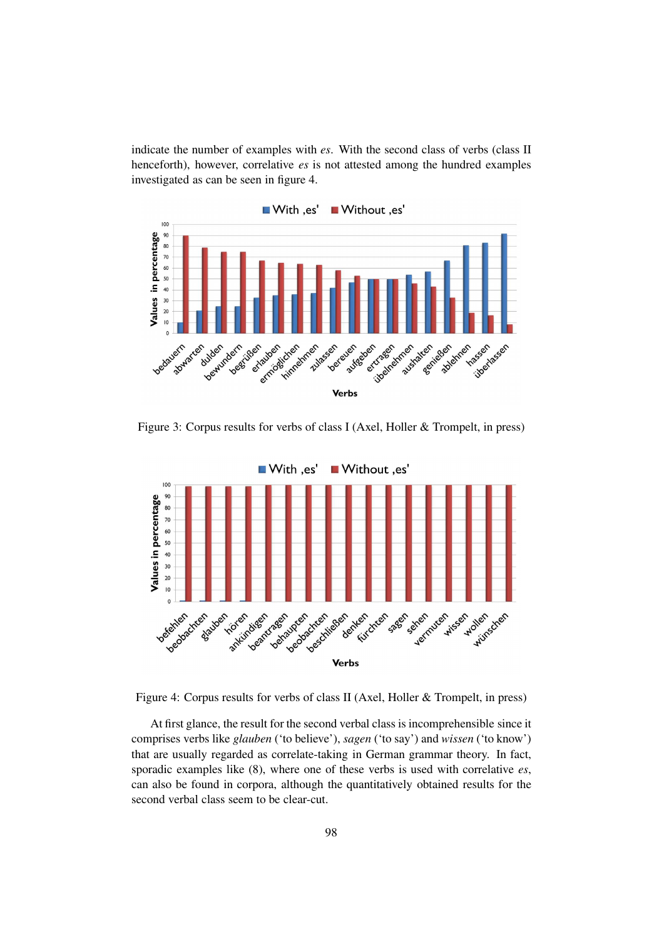indicate the number of examples with *es*. With the second class of verbs (class II henceforth), however, correlative *es* is not attested among the hundred examples investigated as can be seen in figure 4.



Figure 3: Corpus results for verbs of class I (Axel, Holler & Trompelt, in press)



Figure 4: Corpus results for verbs of class II (Axel, Holler & Trompelt, in press)

At first glance, the result for the second verbal class is incomprehensible since it comprises verbs like *glauben* ('to believe'), *sagen* ('to say') and *wissen* ('to know') that are usually regarded as correlate-taking in German grammar theory. In fact, sporadic examples like (8), where one of these verbs is used with correlative *es*, can also be found in corpora, although the quantitatively obtained results for the second verbal class seem to be clear-cut.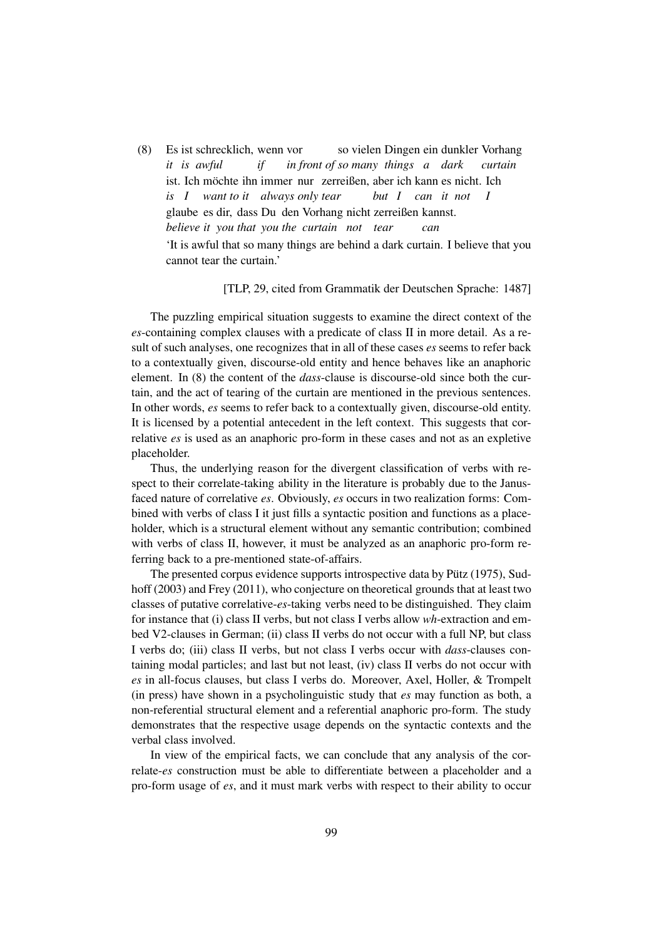(8) Es ist schrecklich, wenn vor *it is awful if in front of so many things a dark* so vielen Dingen ein dunkler Vorhang *curtain* ist. Ich möchte ihn immer nur zerreißen, aber ich kann es nicht. Ich *is I want to it always only tear but I can it not I* glaube es dir, dass Du den Vorhang nicht zerreißen kannst. *believe it you that you the curtain not tear can* 'It is awful that so many things are behind a dark curtain. I believe that you cannot tear the curtain.'

#### [TLP, 29, cited from Grammatik der Deutschen Sprache: 1487]

The puzzling empirical situation suggests to examine the direct context of the *es*-containing complex clauses with a predicate of class II in more detail. As a result of such analyses, one recognizes that in all of these cases *es* seems to refer back to a contextually given, discourse-old entity and hence behaves like an anaphoric element. In (8) the content of the *dass*-clause is discourse-old since both the curtain, and the act of tearing of the curtain are mentioned in the previous sentences. In other words, *es* seems to refer back to a contextually given, discourse-old entity. It is licensed by a potential antecedent in the left context. This suggests that correlative *es* is used as an anaphoric pro-form in these cases and not as an expletive placeholder.

Thus, the underlying reason for the divergent classification of verbs with respect to their correlate-taking ability in the literature is probably due to the Janusfaced nature of correlative *es*. Obviously, *es* occurs in two realization forms: Combined with verbs of class I it just fills a syntactic position and functions as a placeholder, which is a structural element without any semantic contribution; combined with verbs of class II, however, it must be analyzed as an anaphoric pro-form referring back to a pre-mentioned state-of-affairs.

The presented corpus evidence supports introspective data by Pütz (1975), Sudhoff (2003) and Frey (2011), who conjecture on theoretical grounds that at least two classes of putative correlative-*es*-taking verbs need to be distinguished. They claim for instance that (i) class II verbs, but not class I verbs allow *wh*-extraction and embed V2-clauses in German; (ii) class II verbs do not occur with a full NP, but class I verbs do; (iii) class II verbs, but not class I verbs occur with *dass*-clauses containing modal particles; and last but not least, (iv) class II verbs do not occur with *es* in all-focus clauses, but class I verbs do. Moreover, Axel, Holler, & Trompelt (in press) have shown in a psycholinguistic study that *es* may function as both, a non-referential structural element and a referential anaphoric pro-form. The study demonstrates that the respective usage depends on the syntactic contexts and the verbal class involved.

In view of the empirical facts, we can conclude that any analysis of the correlate-*es* construction must be able to differentiate between a placeholder and a pro-form usage of *es*, and it must mark verbs with respect to their ability to occur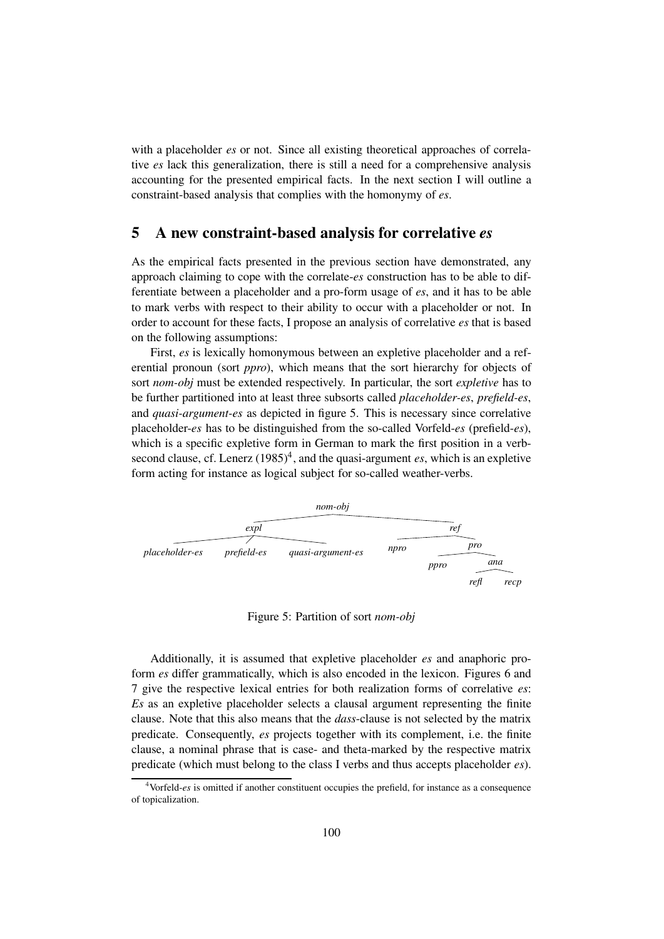with a placeholder *es* or not. Since all existing theoretical approaches of correlative *es* lack this generalization, there is still a need for a comprehensive analysis accounting for the presented empirical facts. In the next section I will outline a constraint-based analysis that complies with the homonymy of *es*.

## 5 A new constraint-based analysis for correlative *es*

As the empirical facts presented in the previous section have demonstrated, any approach claiming to cope with the correlate-*es* construction has to be able to differentiate between a placeholder and a pro-form usage of *es*, and it has to be able to mark verbs with respect to their ability to occur with a placeholder or not. In order to account for these facts, I propose an analysis of correlative *es* that is based on the following assumptions:

First, *es* is lexically homonymous between an expletive placeholder and a referential pronoun (sort *ppro*), which means that the sort hierarchy for objects of sort *nom-obj* must be extended respectively. In particular, the sort *expletive* has to be further partitioned into at least three subsorts called *placeholder-es*, *prefield-es*, and *quasi-argument-es* as depicted in figure 5. This is necessary since correlative placeholder-*es* has to be distinguished from the so-called Vorfeld-*es* (prefield-*es*), which is a specific expletive form in German to mark the first position in a verbsecond clause, cf. Lenerz  $(1985)^4$ , and the quasi-argument *es*, which is an expletive form acting for instance as logical subject for so-called weather-verbs.



Figure 5: Partition of sort *nom-obj*

Additionally, it is assumed that expletive placeholder *es* and anaphoric proform *es* differ grammatically, which is also encoded in the lexicon. Figures 6 and 7 give the respective lexical entries for both realization forms of correlative *es*: *Es* as an expletive placeholder selects a clausal argument representing the finite clause. Note that this also means that the *dass*-clause is not selected by the matrix predicate. Consequently, *es* projects together with its complement, i.e. the finite clause, a nominal phrase that is case- and theta-marked by the respective matrix predicate (which must belong to the class I verbs and thus accepts placeholder *es*).

<sup>4</sup>Vorfeld-*es* is omitted if another constituent occupies the prefield, for instance as a consequence of topicalization.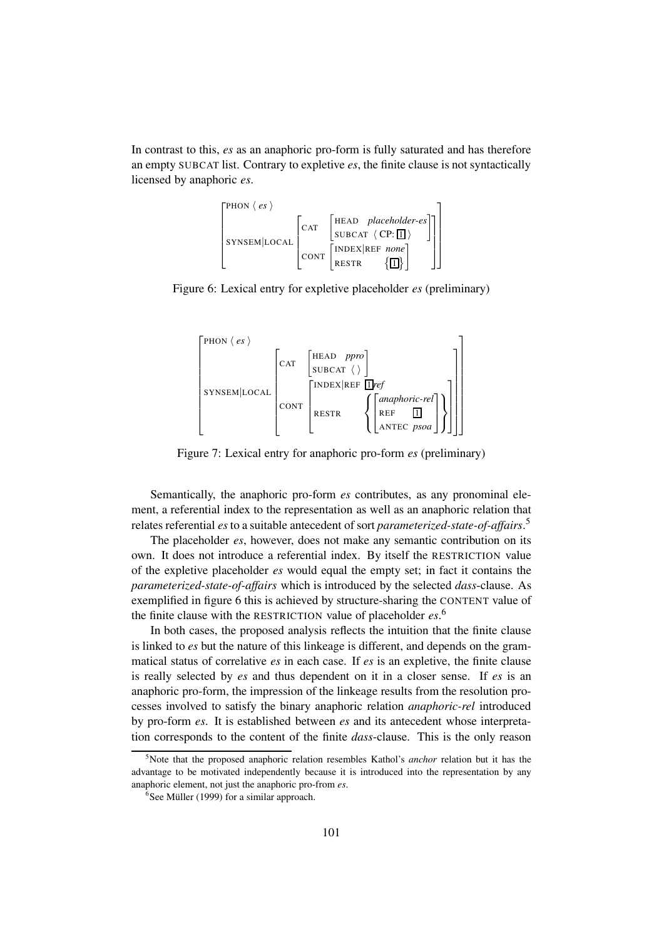In contrast to this, *es* as an anaphoric pro-form is fully saturated and has therefore an empty SUBCAT list. Contrary to expletive *es*, the finite clause is not syntactically licensed by anaphoric *es*.



Figure 6: Lexical entry for expletive placeholder *es* (preliminary)



Figure 7: Lexical entry for anaphoric pro-form *es* (preliminary)

Semantically, the anaphoric pro-form *es* contributes, as any pronominal element, a referential index to the representation as well as an anaphoric relation that relates referential *es*to a suitable antecedent of sort *parameterized-state-of-affairs*. 5

The placeholder *es*, however, does not make any semantic contribution on its own. It does not introduce a referential index. By itself the RESTRICTION value of the expletive placeholder *es* would equal the empty set; in fact it contains the *parameterized-state-of-affairs* which is introduced by the selected *dass*-clause. As exemplified in figure 6 this is achieved by structure-sharing the CONTENT value of the finite clause with the RESTRICTION value of placeholder *es*. 6

In both cases, the proposed analysis reflects the intuition that the finite clause is linked to *es* but the nature of this linkeage is different, and depends on the grammatical status of correlative *es* in each case. If *es* is an expletive, the finite clause is really selected by *es* and thus dependent on it in a closer sense. If *es* is an anaphoric pro-form, the impression of the linkeage results from the resolution processes involved to satisfy the binary anaphoric relation *anaphoric-rel* introduced by pro-form *es*. It is established between *es* and its antecedent whose interpretation corresponds to the content of the finite *dass*-clause. This is the only reason

<sup>5</sup>Note that the proposed anaphoric relation resembles Kathol's *anchor* relation but it has the advantage to be motivated independently because it is introduced into the representation by any anaphoric element, not just the anaphoric pro-from *es*.

 $6$ See Müller (1999) for a similar approach.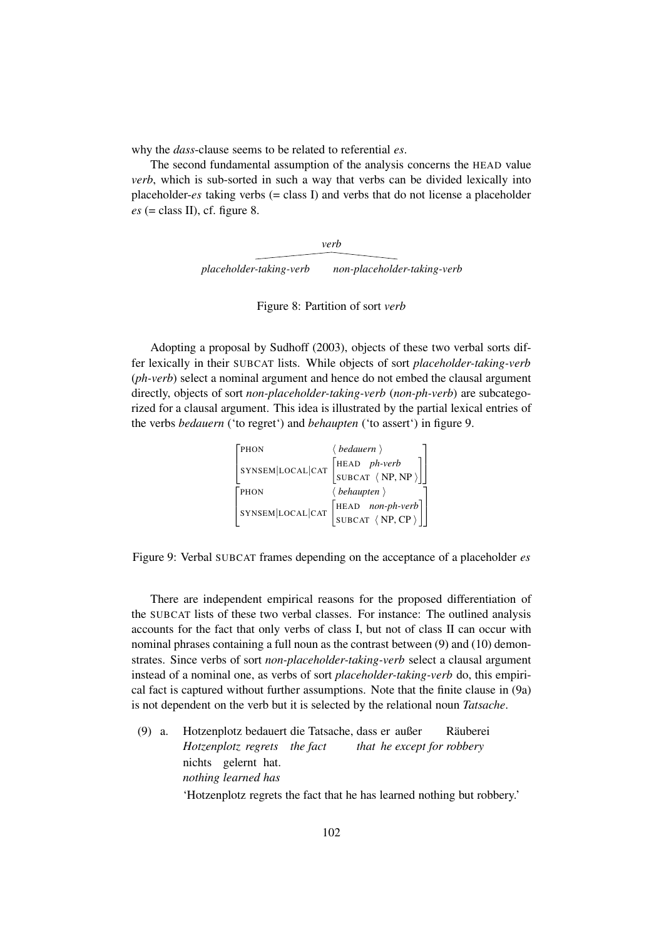why the *dass*-clause seems to be related to referential *es*.

The second fundamental assumption of the analysis concerns the HEAD value *verb*, which is sub-sorted in such a way that verbs can be divided lexically into placeholder-*es* taking verbs (= class I) and verbs that do not license a placeholder  $es$  (= class II), cf. figure 8.

> *placeholder-taking-verb non-placeholder-taking-verb verb*

> > Figure 8: Partition of sort *verb*

Adopting a proposal by Sudhoff (2003), objects of these two verbal sorts differ lexically in their SUBCAT lists. While objects of sort *placeholder-taking-verb* (*ph-verb*) select a nominal argument and hence do not embed the clausal argument directly, objects of sort *non-placeholder-taking-verb* (*non-ph-verb*) are subcategorized for a clausal argument. This idea is illustrated by the partial lexical entries of the verbs *bedauern* ('to regret') and *behaupten* ('to assert') in figure 9.

|  | PHON             | $\langle$ bedauern $\rangle$                                                                               |
|--|------------------|------------------------------------------------------------------------------------------------------------|
|  | SYNSEM LOCAL CAT |                                                                                                            |
|  |                  | $\begin{bmatrix} \text{HEAD} & \text{ph-verb} \\ \text{SUBCAT} & \langle NP, NP \rangle \end{bmatrix}$     |
|  | PHON             | $\langle$ behaupten $\rangle$                                                                              |
|  | SYNSEM LOCAL CAT | $\begin{bmatrix} \text{HEAD} & \text{non-ph-verb} \\ \text{SUBCAT} & \langle NP, CP \rangle \end{bmatrix}$ |
|  |                  |                                                                                                            |

Figure 9: Verbal SUBCAT frames depending on the acceptance of a placeholder *es*

There are independent empirical reasons for the proposed differentiation of the SUBCAT lists of these two verbal classes. For instance: The outlined analysis accounts for the fact that only verbs of class I, but not of class II can occur with nominal phrases containing a full noun as the contrast between (9) and (10) demonstrates. Since verbs of sort *non-placeholder-taking-verb* select a clausal argument instead of a nominal one, as verbs of sort *placeholder-taking-verb* do, this empirical fact is captured without further assumptions. Note that the finite clause in (9a) is not dependent on the verb but it is selected by the relational noun *Tatsache*.

(9) a. Hotzenplotz bedauert die Tatsache, dass er außer *Hotzenplotz regrets the fact that he except for robbery* **Räuberei** nichts gelernt hat. *nothing learned has* 'Hotzenplotz regrets the fact that he has learned nothing but robbery.'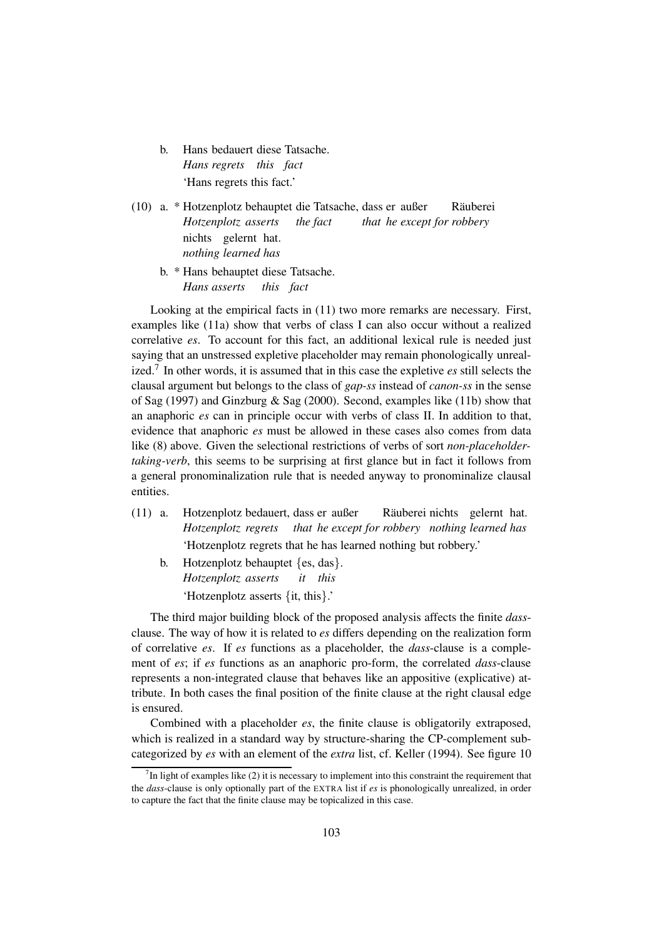- b. Hans bedauert diese Tatsache. *Hans regrets this fact* 'Hans regrets this fact.'
- (10) a. \* Hotzenplotz behauptet die Tatsache, dass er außer *Hotzenplotz asserts the fact that he except for robbery* **Räuberei** nichts gelernt hat. *nothing learned has*
	- b. \* Hans behauptet diese Tatsache. *Hans asserts this fact*

Looking at the empirical facts in (11) two more remarks are necessary. First, examples like (11a) show that verbs of class I can also occur without a realized correlative *es*. To account for this fact, an additional lexical rule is needed just saying that an unstressed expletive placeholder may remain phonologically unrealized.<sup>7</sup> In other words, it is assumed that in this case the expletive *es* still selects the clausal argument but belongs to the class of *gap-ss* instead of *canon-ss* in the sense of Sag (1997) and Ginzburg & Sag (2000). Second, examples like (11b) show that an anaphoric *es* can in principle occur with verbs of class II. In addition to that, evidence that anaphoric *es* must be allowed in these cases also comes from data like (8) above. Given the selectional restrictions of verbs of sort *non-placeholdertaking-verb*, this seems to be surprising at first glance but in fact it follows from a general pronominalization rule that is needed anyway to pronominalize clausal entities.

- (11) a. Hotzenplotz bedauert, dass er außer *Hotzenplotz regrets that he except for robbery nothing learned has* Räuberei nichts gelernt hat. 'Hotzenplotz regrets that he has learned nothing but robbery.'
	- b. Hotzenplotz behauptet {es, das}. *Hotzenplotz asserts it this* 'Hotzenplotz asserts {it, this}.'

The third major building block of the proposed analysis affects the finite *dass*clause. The way of how it is related to *es* differs depending on the realization form of correlative *es*. If *es* functions as a placeholder, the *dass*-clause is a complement of *es*; if *es* functions as an anaphoric pro-form, the correlated *dass*-clause represents a non-integrated clause that behaves like an appositive (explicative) attribute. In both cases the final position of the finite clause at the right clausal edge is ensured.

Combined with a placeholder *es*, the finite clause is obligatorily extraposed, which is realized in a standard way by structure-sharing the CP-complement subcategorized by *es* with an element of the *extra* list, cf. Keller (1994). See figure 10

 $<sup>7</sup>$ In light of examples like (2) it is necessary to implement into this constraint the requirement that</sup> the *dass*-clause is only optionally part of the EXTRA list if *es* is phonologically unrealized, in order to capture the fact that the finite clause may be topicalized in this case.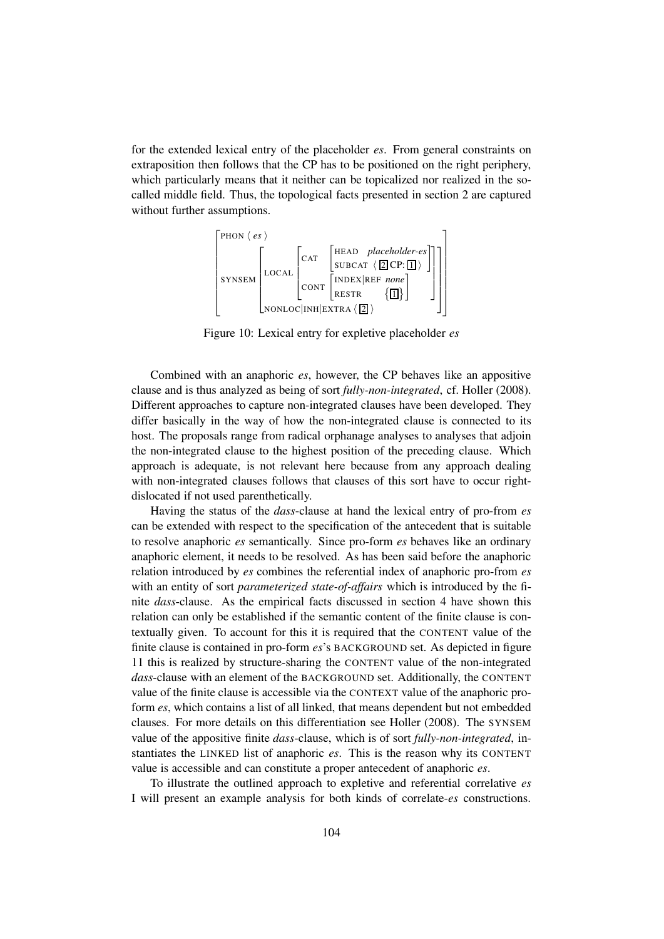for the extended lexical entry of the placeholder *es*. From general constraints on extraposition then follows that the CP has to be positioned on the right periphery, which particularly means that it neither can be topicalized nor realized in the socalled middle field. Thus, the topological facts presented in section 2 are captured without further assumptions.



Figure 10: Lexical entry for expletive placeholder *es*

Combined with an anaphoric *es*, however, the CP behaves like an appositive clause and is thus analyzed as being of sort *fully-non-integrated*, cf. Holler (2008). Different approaches to capture non-integrated clauses have been developed. They differ basically in the way of how the non-integrated clause is connected to its host. The proposals range from radical orphanage analyses to analyses that adjoin the non-integrated clause to the highest position of the preceding clause. Which approach is adequate, is not relevant here because from any approach dealing with non-integrated clauses follows that clauses of this sort have to occur rightdislocated if not used parenthetically.

Having the status of the *dass*-clause at hand the lexical entry of pro-from *es* can be extended with respect to the specification of the antecedent that is suitable to resolve anaphoric *es* semantically. Since pro-form *es* behaves like an ordinary anaphoric element, it needs to be resolved. As has been said before the anaphoric relation introduced by *es* combines the referential index of anaphoric pro-from *es* with an entity of sort *parameterized state-of-affairs* which is introduced by the finite *dass*-clause. As the empirical facts discussed in section 4 have shown this relation can only be established if the semantic content of the finite clause is contextually given. To account for this it is required that the CONTENT value of the finite clause is contained in pro-form *es*'s BACKGROUND set. As depicted in figure 11 this is realized by structure-sharing the CONTENT value of the non-integrated *dass*-clause with an element of the BACKGROUND set. Additionally, the CONTENT value of the finite clause is accessible via the CONTEXT value of the anaphoric proform *es*, which contains a list of all linked, that means dependent but not embedded clauses. For more details on this differentiation see Holler (2008). The SYNSEM value of the appositive finite *dass*-clause, which is of sort *fully-non-integrated*, instantiates the LINKED list of anaphoric *es*. This is the reason why its CONTENT value is accessible and can constitute a proper antecedent of anaphoric *es*.

To illustrate the outlined approach to expletive and referential correlative *es* I will present an example analysis for both kinds of correlate-*es* constructions.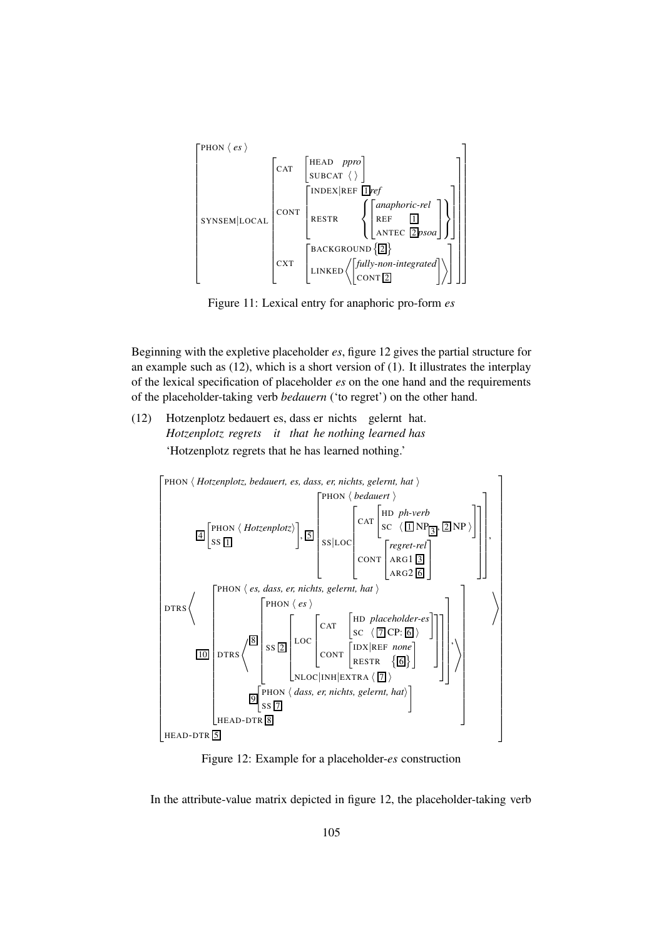

Figure 11: Lexical entry for anaphoric pro-form *es*

Beginning with the expletive placeholder *es*, figure 12 gives the partial structure for an example such as (12), which is a short version of (1). It illustrates the interplay of the lexical specification of placeholder *es* on the one hand and the requirements of the placeholder-taking verb *bedauern* ('to regret') on the other hand.

(12) Hotzenplotz bedauert es, dass er nichts gelernt hat. *Hotzenplotz regrets it that he nothing learned has* 'Hotzenplotz regrets that he has learned nothing.'



Figure 12: Example for a placeholder-*es* construction

In the attribute-value matrix depicted in figure 12, the placeholder-taking verb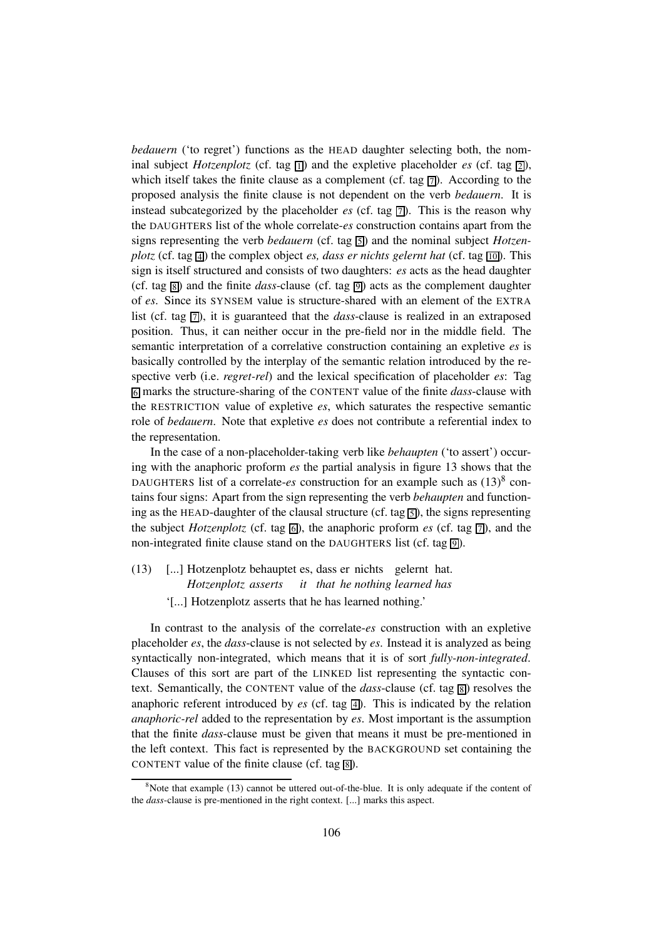*bedauern* ('to regret') functions as the HEAD daughter selecting both, the nominal subject *Hotzenplotz* (cf. tag  $\overline{1}$ ) and the expletive placeholder *es* (cf. tag  $\overline{2}$ ), which itself takes the finite clause as a complement (cf. tag  $\overline{7}$ ). According to the proposed analysis the finite clause is not dependent on the verb *bedauern*. It is instead subcategorized by the placeholder  $es$  (cf. tag  $\boxed{7}$ ). This is the reason why the DAUGHTERS list of the whole correlate-*es* construction contains apart from the signs representing the verb *bedauern* (cf. tag  $\overline{5}$ ) and the nominal subject *Hotzenplotz* (cf. tag  $\overline{4}$ ) the complex object *es, dass er nichts gelernt hat* (cf. tag  $\overline{10}$ ). This sign is itself structured and consists of two daughters: *es* acts as the head daughter (cf. tag  $\boxed{8}$ ) and the finite *dass*-clause (cf. tag  $\boxed{9}$ ) acts as the complement daughter of *es*. Since its SYNSEM value is structure-shared with an element of the EXTRA list (cf. tag  $\boxed{7}$ ), it is guaranteed that the *dass*-clause is realized in an extraposed position. Thus, it can neither occur in the pre-field nor in the middle field. The semantic interpretation of a correlative construction containing an expletive *es* is basically controlled by the interplay of the semantic relation introduced by the respective verb (i.e. *regret-rel*) and the lexical specification of placeholder *es*: Tag 6 marks the structure-sharing of the CONTENT value of the finite *dass*-clause with the RESTRICTION value of expletive *es*, which saturates the respective semantic role of *bedauern*. Note that expletive *es* does not contribute a referential index to the representation.

In the case of a non-placeholder-taking verb like *behaupten* ('to assert') occuring with the anaphoric proform *es* the partial analysis in figure 13 shows that the DAUGHTERS list of a correlate-*es* construction for an example such as  $(13)^8$  contains four signs: Apart from the sign representing the verb *behaupten* and functioning as the HEAD-daughter of the clausal structure (cf. tag  $\boxed{5}$ ), the signs representing the subject *Hotzenplotz* (cf. tag  $\overline{6}$ ), the anaphoric proform *es* (cf. tag  $\overline{7}$ ), and the non-integrated finite clause stand on the DAUGHTERS list (cf. tag  $\boxed{9}$ ).

- (13) [...] Hotzenplotz behauptet es, dass er nichts gelernt hat. *Hotzenplotz asserts it that he nothing learned has*
	- '[...] Hotzenplotz asserts that he has learned nothing.'

In contrast to the analysis of the correlate-*es* construction with an expletive placeholder *es*, the *dass*-clause is not selected by *es*. Instead it is analyzed as being syntactically non-integrated, which means that it is of sort *fully-non-integrated*. Clauses of this sort are part of the LINKED list representing the syntactic context. Semantically, the CONTENT value of the *dass*-clause (cf. tag  $\boxed{8}$ ) resolves the anaphoric referent introduced by  $\mathfrak{es}$  (cf. tag  $\overline{4}$ ). This is indicated by the relation *anaphoric-rel* added to the representation by *es*. Most important is the assumption that the finite *dass*-clause must be given that means it must be pre-mentioned in the left context. This fact is represented by the BACKGROUND set containing the CONTENT value of the finite clause (cf. tag  $\boxed{8}$ ).

 $8$ Note that example (13) cannot be uttered out-of-the-blue. It is only adequate if the content of the *dass*-clause is pre-mentioned in the right context. [...] marks this aspect.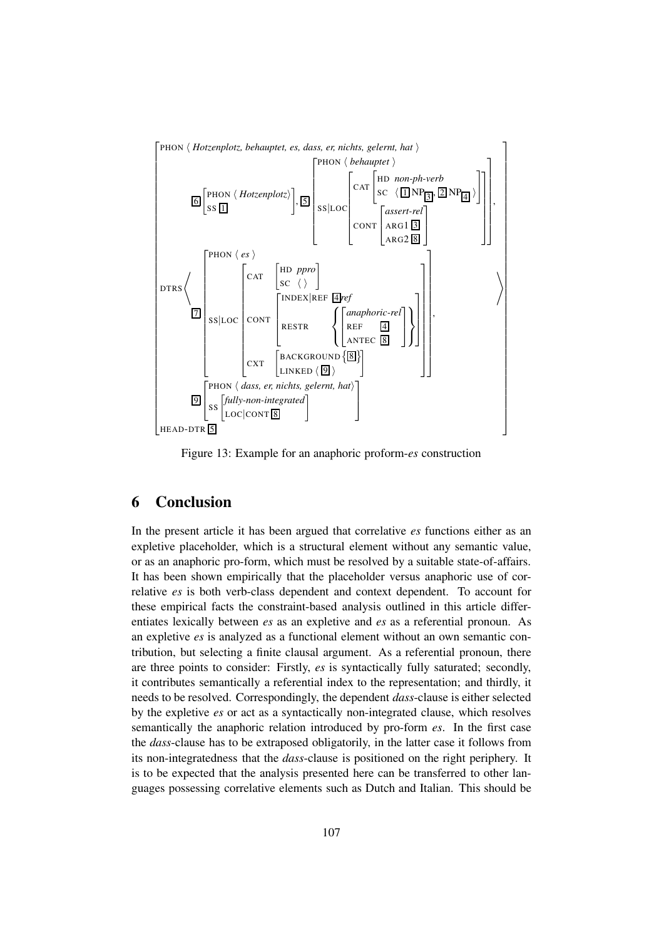

Figure 13: Example for an anaphoric proform-*es* construction

## 6 Conclusion

In the present article it has been argued that correlative *es* functions either as an expletive placeholder, which is a structural element without any semantic value, or as an anaphoric pro-form, which must be resolved by a suitable state-of-affairs. It has been shown empirically that the placeholder versus anaphoric use of correlative *es* is both verb-class dependent and context dependent. To account for these empirical facts the constraint-based analysis outlined in this article differentiates lexically between *es* as an expletive and *es* as a referential pronoun. As an expletive *es* is analyzed as a functional element without an own semantic contribution, but selecting a finite clausal argument. As a referential pronoun, there are three points to consider: Firstly, *es* is syntactically fully saturated; secondly, it contributes semantically a referential index to the representation; and thirdly, it needs to be resolved. Correspondingly, the dependent *dass*-clause is either selected by the expletive *es* or act as a syntactically non-integrated clause, which resolves semantically the anaphoric relation introduced by pro-form *es*. In the first case the *dass*-clause has to be extraposed obligatorily, in the latter case it follows from its non-integratedness that the *dass*-clause is positioned on the right periphery. It is to be expected that the analysis presented here can be transferred to other languages possessing correlative elements such as Dutch and Italian. This should be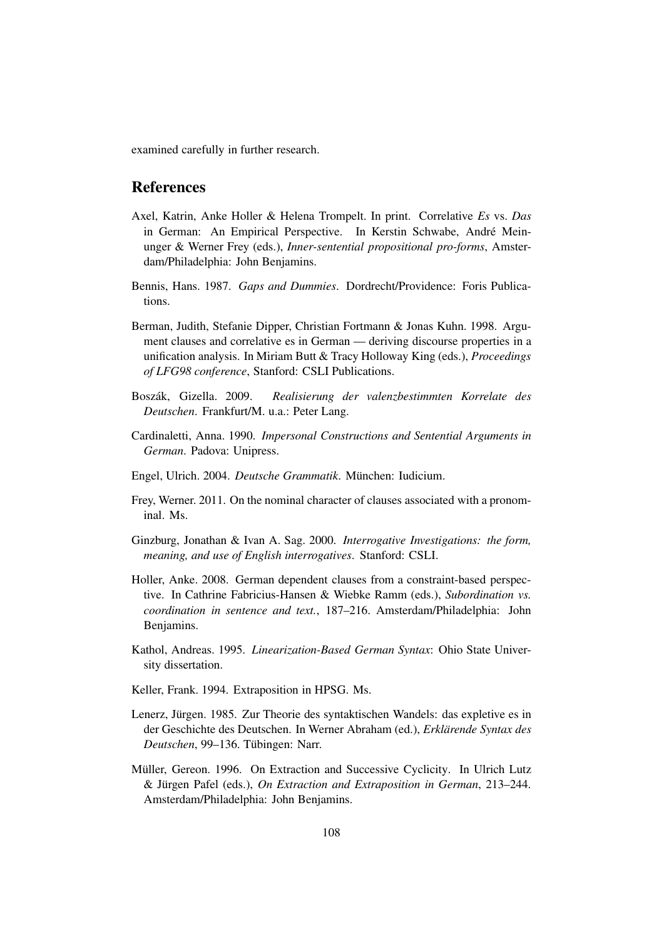examined carefully in further research.

## References

- Axel, Katrin, Anke Holler & Helena Trompelt. In print. Correlative *Es* vs. *Das* in German: An Empirical Perspective. In Kerstin Schwabe, André Meinunger & Werner Frey (eds.), *Inner-sentential propositional pro-forms*, Amsterdam/Philadelphia: John Benjamins.
- Bennis, Hans. 1987. *Gaps and Dummies*. Dordrecht/Providence: Foris Publications.
- Berman, Judith, Stefanie Dipper, Christian Fortmann & Jonas Kuhn. 1998. Argument clauses and correlative es in German — deriving discourse properties in a unification analysis. In Miriam Butt & Tracy Holloway King (eds.), *Proceedings of LFG98 conference*, Stanford: CSLI Publications.
- Bosz´ak, Gizella. 2009. *Realisierung der valenzbestimmten Korrelate des Deutschen*. Frankfurt/M. u.a.: Peter Lang.
- Cardinaletti, Anna. 1990. *Impersonal Constructions and Sentential Arguments in German*. Padova: Unipress.
- Engel, Ulrich. 2004. *Deutsche Grammatik*. München: Iudicium.
- Frey, Werner. 2011. On the nominal character of clauses associated with a pronominal. Ms.
- Ginzburg, Jonathan & Ivan A. Sag. 2000. *Interrogative Investigations: the form, meaning, and use of English interrogatives*. Stanford: CSLI.
- Holler, Anke. 2008. German dependent clauses from a constraint-based perspective. In Cathrine Fabricius-Hansen & Wiebke Ramm (eds.), *Subordination vs. coordination in sentence and text.*, 187–216. Amsterdam/Philadelphia: John Benjamins.
- Kathol, Andreas. 1995. *Linearization-Based German Syntax*: Ohio State University dissertation.
- Keller, Frank. 1994. Extraposition in HPSG. Ms.
- Lenerz, Jürgen. 1985. Zur Theorie des syntaktischen Wandels: das expletive es in der Geschichte des Deutschen. In Werner Abraham (ed.), *Erklarende Syntax des ¨ Deutschen*, 99–136. Tübingen: Narr.
- Müller, Gereon. 1996. On Extraction and Successive Cyclicity. In Ulrich Lutz & Jürgen Pafel (eds.), *On Extraction and Extraposition in German*, 213–244. Amsterdam/Philadelphia: John Benjamins.